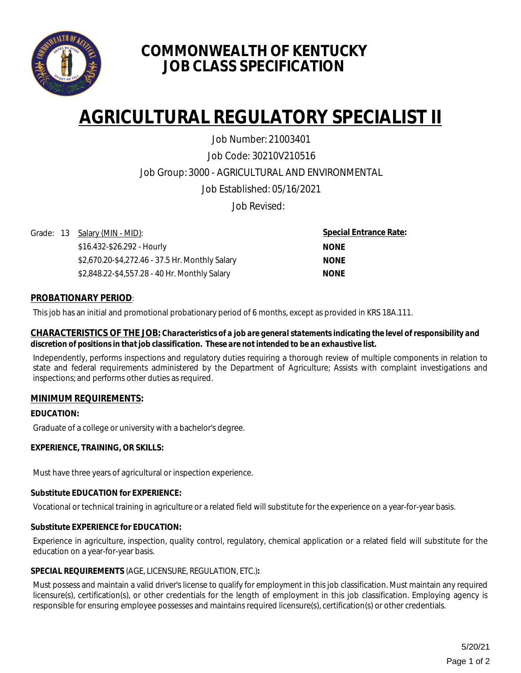

# **COMMONWEALTH OF KENTUCKY JOB CLASS SPECIFICATION**

# **AGRICULTURAL REGULATORY SPECIALIST II**

Job Code: 30210V210516 Job Group: 3000 - AGRICULTURAL AND ENVIRONMENTAL Job Established: 05/16/2021 Job Number: 21003401

Job Revised:

Grade: 13 Salary (MIN - MID):

\$16.432-\$26.292 - Hourly \$2,670.20-\$4,272.46 - 37.5 Hr. Monthly Salary \$2,848.22-\$4,557.28 - 40 Hr. Monthly Salary

**Special Entrance Rate: NONE NONE NONE**

# **PROBATIONARY PERIOD**:

This job has an initial and promotional probationary period of 6 months, except as provided in KRS 18A.111.

#### **CHARACTERISTICS OF THE JOB:** *Characteristics of a job are general statements indicating the level of responsibility and discretion of positions in that job classification. These are not intended to be an exhaustive list.*

Independently, performs inspections and regulatory duties requiring a thorough review of multiple components in relation to state and federal requirements administered by the Department of Agriculture; Assists with complaint investigations and inspections; and performs other duties as required.

# **MINIMUM REQUIREMENTS:**

# **EDUCATION:**

Graduate of a college or university with a bachelor's degree.

# **EXPERIENCE, TRAINING, OR SKILLS:**

Must have three years of agricultural or inspection experience.

#### **Substitute EDUCATION for EXPERIENCE:**

Vocational or technical training in agriculture or a related field will substitute for the experience on a year-for-year basis.

#### **Substitute EXPERIENCE for EDUCATION:**

Experience in agriculture, inspection, quality control, regulatory, chemical application or a related field will substitute for the education on a year-for-year basis.

#### **SPECIAL REQUIREMENTS** (AGE, LICENSURE, REGULATION, ETC.)**:**

Must possess and maintain a valid driver's license to qualify for employment in this job classification. Must maintain any required licensure(s), certification(s), or other credentials for the length of employment in this job classification. Employing agency is responsible for ensuring employee possesses and maintains required licensure(s), certification(s) or other credentials.